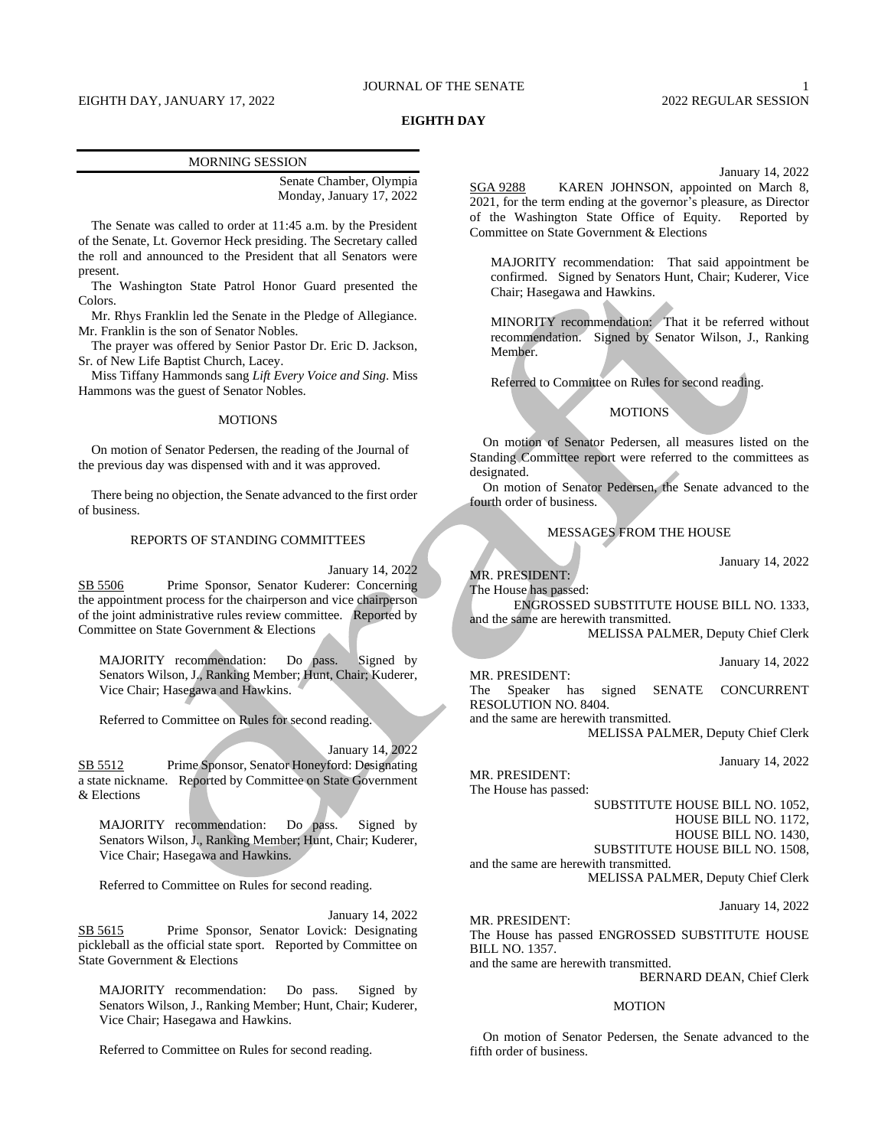## JOURNAL OF THE SENATE 1

# EIGHTH DAY, JANUARY 17, 2022 2022 REGULAR SESSION

## **EIGHTH DAY**

### MORNING SESSION

Senate Chamber, Olympia Monday, January 17, 2022

The Senate was called to order at 11:45 a.m. by the President of the Senate, Lt. Governor Heck presiding. The Secretary called the roll and announced to the President that all Senators were present.

The Washington State Patrol Honor Guard presented the Colors.

Mr. Rhys Franklin led the Senate in the Pledge of Allegiance. Mr. Franklin is the son of Senator Nobles.

The prayer was offered by Senior Pastor Dr. Eric D. Jackson, Sr. of New Life Baptist Church, Lacey.

Miss Tiffany Hammonds sang *Lift Every Voice and Sing*. Miss Hammons was the guest of Senator Nobles.

### **MOTIONS**

On motion of Senator Pedersen, the reading of the Journal of the previous day was dispensed with and it was approved.

There being no objection, the Senate advanced to the first order of business.

### REPORTS OF STANDING COMMITTEES

January 14, 2022

SB 5506 Prime Sponsor, Senator Kuderer: Concerning the appointment process for the chairperson and vice chairperson of the joint administrative rules review committee. Reported by Committee on State Government & Elections

MAJORITY recommendation: Do pass. Signed by Senators Wilson, J., Ranking Member; Hunt, Chair; Kuderer, Vice Chair; Hasegawa and Hawkins.

Referred to Committee on Rules for second reading.

January 14, 2022 SB 5512 Prime Sponsor, Senator Honeyford: Designating a state nickname. Reported by Committee on State Government & Elections

MAJORITY recommendation: Do pass. Signed by Senators Wilson, J., Ranking Member; Hunt, Chair; Kuderer, Vice Chair; Hasegawa and Hawkins.

Referred to Committee on Rules for second reading.

January 14, 2022 SB 5615 Prime Sponsor, Senator Lovick: Designating pickleball as the official state sport. Reported by Committee on State Government & Elections

MAJORITY recommendation: Do pass. Signed by Senators Wilson, J., Ranking Member; Hunt, Chair; Kuderer, Vice Chair; Hasegawa and Hawkins.

Referred to Committee on Rules for second reading.

January 14, 2022

SGA 9288 KAREN JOHNSON, appointed on March 8, 2021, for the term ending at the governor's pleasure, as Director of the Washington State Office of Equity. Reported by Committee on State Government & Elections

MAJORITY recommendation: That said appointment be confirmed. Signed by Senators Hunt, Chair; Kuderer, Vice Chair; Hasegawa and Hawkins.

MINORITY recommendation: That it be referred without recommendation. Signed by Senator Wilson, J., Ranking Member.

Referred to Committee on Rules for second reading.

## MOTIONS

On motion of Senator Pedersen, all measures listed on the Standing Committee report were referred to the committees as designated.

On motion of Senator Pedersen, the Senate advanced to the fourth order of business.

## MESSAGES FROM THE HOUSE

January 14, 2022

MR. PRESIDENT: The House has passed:

ENGROSSED SUBSTITUTE HOUSE BILL NO. 1333, and the same are herewith transmitted.

MELISSA PALMER, Deputy Chief Clerk

January 14, 2022

MR. PRESIDENT: The Speaker has signed SENATE CONCURRENT RESOLUTION NO. 8404.

and the same are herewith transmitted. MELISSA PALMER, Deputy Chief Clerk

January 14, 2022

MR. PRESIDENT:

The House has passed:

SUBSTITUTE HOUSE BILL NO. 1052,

HOUSE BILL NO. 1172,

HOUSE BILL NO. 1430, SUBSTITUTE HOUSE BILL NO. 1508,

and the same are herewith transmitted.

MELISSA PALMER, Deputy Chief Clerk

January 14, 2022

MR. PRESIDENT:

The House has passed ENGROSSED SUBSTITUTE HOUSE BILL NO. 1357.

and the same are herewith transmitted.

BERNARD DEAN, Chief Clerk

### MOTION

On motion of Senator Pedersen, the Senate advanced to the fifth order of business.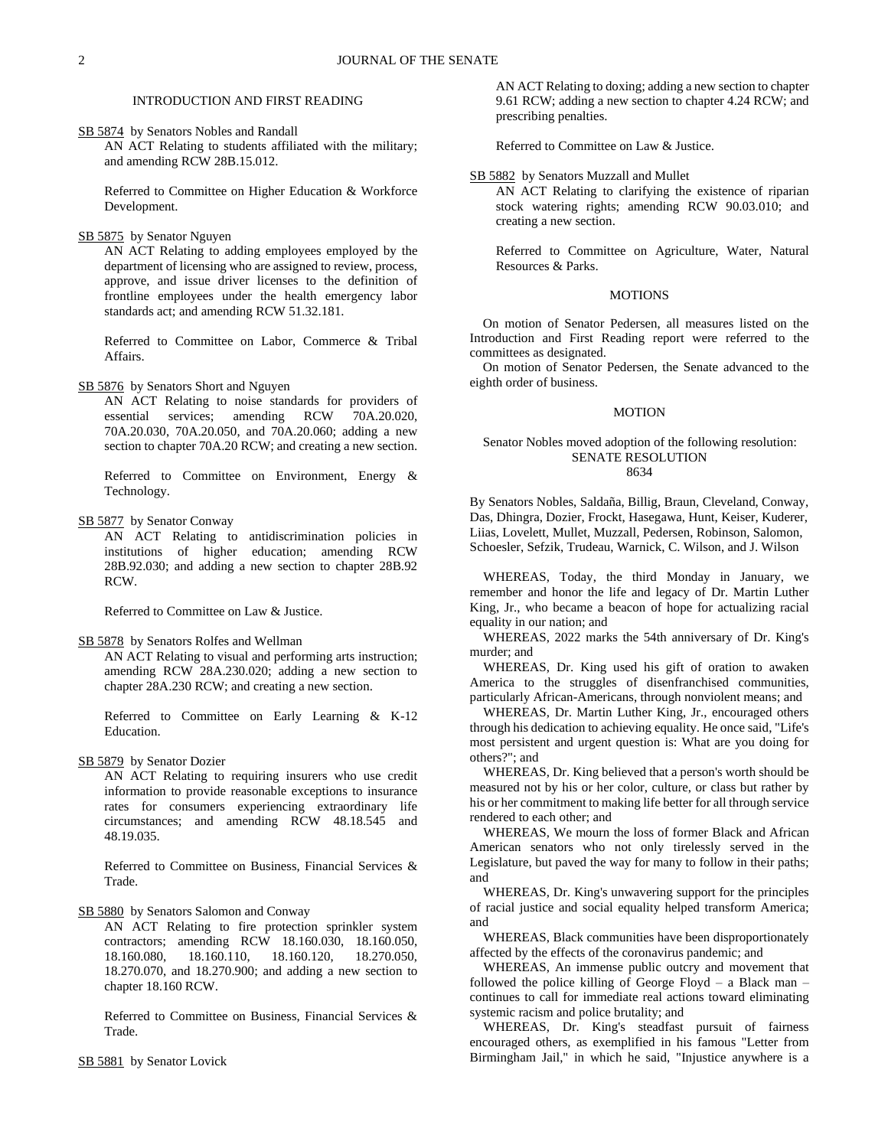## INTRODUCTION AND FIRST READING

SB 5874 by Senators Nobles and Randall AN ACT Relating to students affiliated with the military; and amending RCW 28B.15.012.

Referred to Committee on Higher Education & Workforce Development.

## SB 5875 by Senator Nguyen

AN ACT Relating to adding employees employed by the department of licensing who are assigned to review, process, approve, and issue driver licenses to the definition of frontline employees under the health emergency labor standards act; and amending RCW 51.32.181.

Referred to Committee on Labor, Commerce & Tribal Affairs.

### SB 5876 by Senators Short and Nguyen

AN ACT Relating to noise standards for providers of essential services; amending RCW 70A.20.020, 70A.20.030, 70A.20.050, and 70A.20.060; adding a new section to chapter 70A.20 RCW; and creating a new section.

Referred to Committee on Environment, Energy & Technology.

# SB 5877 by Senator Conway

AN ACT Relating to antidiscrimination policies in institutions of higher education; amending RCW 28B.92.030; and adding a new section to chapter 28B.92 RCW.

Referred to Committee on Law & Justice.

#### SB 5878 by Senators Rolfes and Wellman

AN ACT Relating to visual and performing arts instruction; amending RCW 28A.230.020; adding a new section to chapter 28A.230 RCW; and creating a new section.

Referred to Committee on Early Learning & K-12 Education.

### SB 5879 by Senator Dozier

AN ACT Relating to requiring insurers who use credit information to provide reasonable exceptions to insurance rates for consumers experiencing extraordinary life circumstances; and amending RCW 48.18.545 and 48.19.035.

Referred to Committee on Business, Financial Services & Trade.

SB 5880 by Senators Salomon and Conway

AN ACT Relating to fire protection sprinkler system contractors; amending RCW 18.160.030, 18.160.050, 18.160.080, 18.160.110, 18.160.120, 18.270.050, 18.270.070, and 18.270.900; and adding a new section to chapter 18.160 RCW.

Referred to Committee on Business, Financial Services & Trade.

SB 5881 by Senator Lovick

AN ACT Relating to doxing; adding a new section to chapter 9.61 RCW; adding a new section to chapter 4.24 RCW; and prescribing penalties.

Referred to Committee on Law & Justice.

## SB 5882 by Senators Muzzall and Mullet

AN ACT Relating to clarifying the existence of riparian stock watering rights; amending RCW 90.03.010; and creating a new section.

Referred to Committee on Agriculture, Water, Natural Resources & Parks.

## MOTIONS

On motion of Senator Pedersen, all measures listed on the Introduction and First Reading report were referred to the committees as designated.

On motion of Senator Pedersen, the Senate advanced to the eighth order of business.

### **MOTION**

### Senator Nobles moved adoption of the following resolution: SENATE RESOLUTION 8634

By Senators Nobles, Saldaña, Billig, Braun, Cleveland, Conway, Das, Dhingra, Dozier, Frockt, Hasegawa, Hunt, Keiser, Kuderer, Liias, Lovelett, Mullet, Muzzall, Pedersen, Robinson, Salomon, Schoesler, Sefzik, Trudeau, Warnick, C. Wilson, and J. Wilson

WHEREAS, Today, the third Monday in January, we remember and honor the life and legacy of Dr. Martin Luther King, Jr., who became a beacon of hope for actualizing racial equality in our nation; and

WHEREAS, 2022 marks the 54th anniversary of Dr. King's murder; and

WHEREAS, Dr. King used his gift of oration to awaken America to the struggles of disenfranchised communities, particularly African-Americans, through nonviolent means; and

WHEREAS, Dr. Martin Luther King, Jr., encouraged others through his dedication to achieving equality. He once said, "Life's most persistent and urgent question is: What are you doing for others?"; and

WHEREAS, Dr. King believed that a person's worth should be measured not by his or her color, culture, or class but rather by his or her commitment to making life better for all through service rendered to each other; and

WHEREAS, We mourn the loss of former Black and African American senators who not only tirelessly served in the Legislature, but paved the way for many to follow in their paths; and

WHEREAS, Dr. King's unwavering support for the principles of racial justice and social equality helped transform America; and

WHEREAS, Black communities have been disproportionately affected by the effects of the coronavirus pandemic; and

WHEREAS, An immense public outcry and movement that followed the police killing of George Floyd  $-$  a Black man  $$ continues to call for immediate real actions toward eliminating systemic racism and police brutality; and

WHEREAS, Dr. King's steadfast pursuit of fairness encouraged others, as exemplified in his famous "Letter from Birmingham Jail," in which he said, "Injustice anywhere is a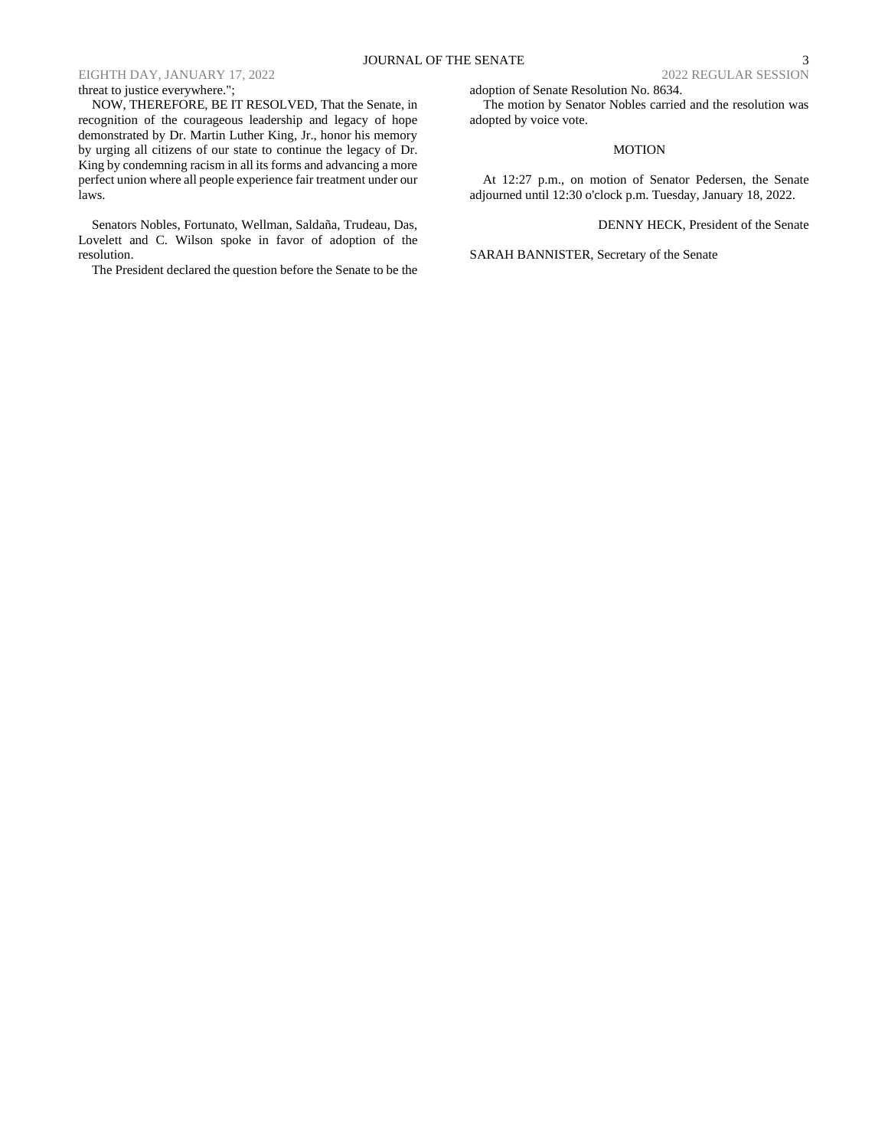# JOURNAL OF THE SENATE 3

# EIGHTH DAY, JANUARY 17, 2022 2022 REGULAR SESSION

## threat to justice everywhere.";

NOW, THEREFORE, BE IT RESOLVED, That the Senate, in recognition of the courageous leadership and legacy of hope demonstrated by Dr. Martin Luther King, Jr., honor his memory by urging all citizens of our state to continue the legacy of Dr. King by condemning racism in all its forms and advancing a more perfect union where all people experience fair treatment under our laws.

Senators Nobles, Fortunato, Wellman, Saldaña, Trudeau, Das, Lovelett and C. Wilson spoke in favor of adoption of the resolution.

The President declared the question before the Senate to be the

adoption of Senate Resolution No. 8634.

The motion by Senator Nobles carried and the resolution was adopted by voice vote.

## MOTION

At 12:27 p.m., on motion of Senator Pedersen, the Senate adjourned until 12:30 o'clock p.m. Tuesday, January 18, 2022.

DENNY HECK, President of the Senate

SARAH BANNISTER, Secretary of the Senate